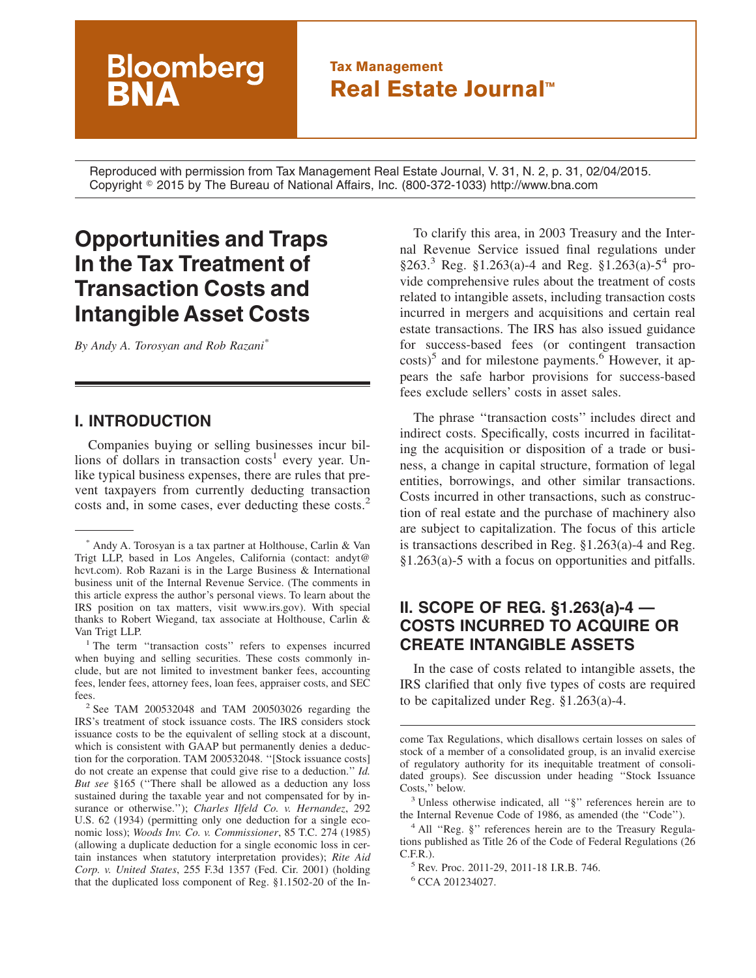## **Tax Management Real Estate Journal™**

Reproduced with permission from Tax Management Real Estate Journal, V. 31, N. 2, p. 31, 02/04/2015. Copyright - 2015 by The Bureau of National Affairs, Inc. (800-372-1033) http://www.bna.com

# **Opportunities and Traps In the Tax Treatment of Transaction Costs and Intangible Asset Costs**

**Bloomberg** 

*By Andy A. Torosyan and Rob Razani\**

#### **I. INTRODUCTION**

Companies buying or selling businesses incur billions of dollars in transaction  $costs<sup>1</sup>$  every year. Unlike typical business expenses, there are rules that prevent taxpayers from currently deducting transaction costs and, in some cases, ever deducting these costs.<sup>2</sup>

To clarify this area, in 2003 Treasury and the Internal Revenue Service issued final regulations under  $§263<sup>3</sup>$  Reg. §1.263(a)-4 and Reg. §1.263(a)-5<sup>4</sup> provide comprehensive rules about the treatment of costs related to intangible assets, including transaction costs incurred in mergers and acquisitions and certain real estate transactions. The IRS has also issued guidance for success-based fees (or contingent transaction  $costs$ <sup>5</sup> and for milestone payments.<sup>6</sup> However, it appears the safe harbor provisions for success-based fees exclude sellers' costs in asset sales.

The phrase ''transaction costs'' includes direct and indirect costs. Specifically, costs incurred in facilitating the acquisition or disposition of a trade or business, a change in capital structure, formation of legal entities, borrowings, and other similar transactions. Costs incurred in other transactions, such as construction of real estate and the purchase of machinery also are subject to capitalization. The focus of this article is transactions described in Reg. §1.263(a)-4 and Reg. §1.263(a)-5 with a focus on opportunities and pitfalls.

### **II. SCOPE OF REG. §1.263(a)-4 — COSTS INCURRED TO ACQUIRE OR CREATE INTANGIBLE ASSETS**

In the case of costs related to intangible assets, the IRS clarified that only five types of costs are required to be capitalized under Reg. §1.263(a)-4.

come Tax Regulations, which disallows certain losses on sales of stock of a member of a consolidated group, is an invalid exercise of regulatory authority for its inequitable treatment of consolidated groups). See discussion under heading ''Stock Issuance Costs,'' below.

<sup>3</sup> Unless otherwise indicated, all ''§'' references herein are to the Internal Revenue Code of 1986, as amended (the ''Code'').

<sup>4</sup> All "Reg. §" references herein are to the Treasury Regulations published as Title 26 of the Code of Federal Regulations (26  $C.F.R.$ ).

<sup>5</sup> Rev. Proc. 2011-29, 2011-18 I.R.B. 746.

<sup>6</sup> CCA 201234027.

<sup>\*</sup> Andy A. Torosyan is a tax partner at Holthouse, Carlin & Van Trigt LLP, based in Los Angeles, California (contact: [andyt@](mailto:andyt@hcvt.com) [hcvt.com\)](mailto:andyt@hcvt.com). Rob Razani is in the Large Business & International business unit of the Internal Revenue Service. (The comments in this article express the author's personal views. To learn about the IRS position on tax matters, visit www.irs.gov). With special thanks to Robert Wiegand, tax associate at Holthouse, Carlin & Van Trigt LLP.

<sup>&</sup>lt;sup>1</sup> The term "transaction costs" refers to expenses incurred when buying and selling securities. These costs commonly include, but are not limited to investment banker fees, accounting fees, lender fees, attorney fees, loan fees, appraiser costs, and SEC fees.

<sup>2</sup> See TAM 200532048 and TAM 200503026 regarding the IRS's treatment of stock issuance costs. The IRS considers stock issuance costs to be the equivalent of selling stock at a discount, which is consistent with GAAP but permanently denies a deduction for the corporation. TAM 200532048. ''[Stock issuance costs] do not create an expense that could give rise to a deduction.'' *Id. But see* §165 (''There shall be allowed as a deduction any loss sustained during the taxable year and not compensated for by insurance or otherwise.''); *Charles Ilfeld Co. v. Hernandez*, 292 U.S. 62 (1934) (permitting only one deduction for a single economic loss); *Woods Inv. Co. v. Commissioner*, 85 T.C. 274 (1985) (allowing a duplicate deduction for a single economic loss in certain instances when statutory interpretation provides); *Rite Aid Corp. v. United States*, 255 F.3d 1357 (Fed. Cir. 2001) (holding that the duplicated loss component of Reg. §1.1502-20 of the In-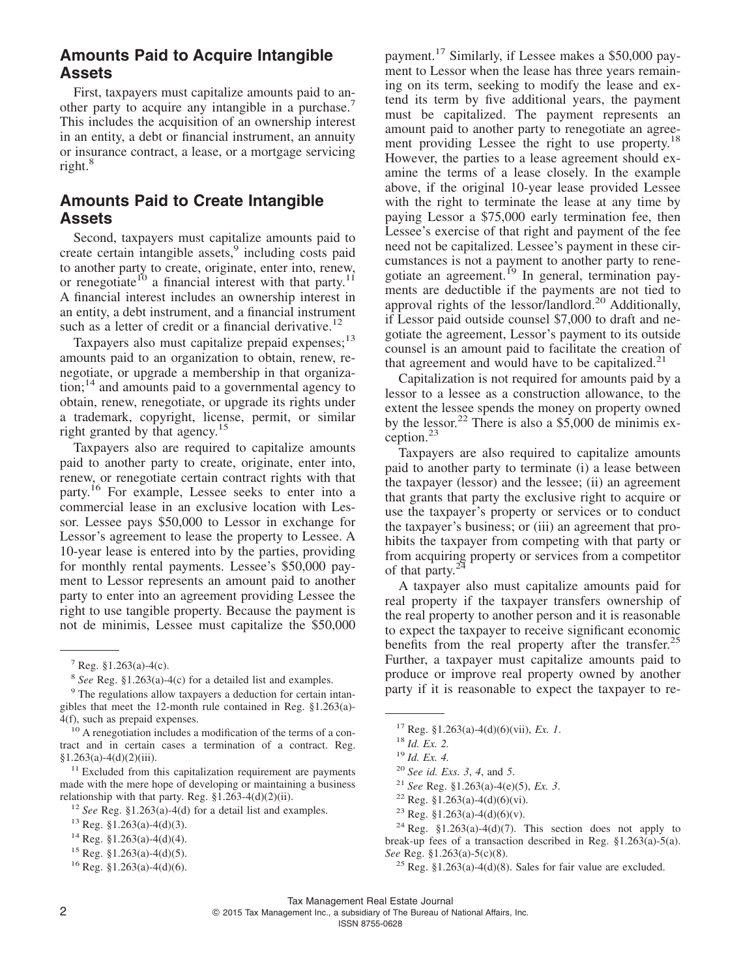### **Amounts Paid to Acquire Intangible Assets**

First, taxpayers must capitalize amounts paid to another party to acquire any intangible in a purchase.<sup>7</sup> This includes the acquisition of an ownership interest in an entity, a debt or financial instrument, an annuity or insurance contract, a lease, or a mortgage servicing right.<sup>8</sup>

### **Amounts Paid to Create Intangible Assets**

Second, taxpayers must capitalize amounts paid to create certain intangible assets,<sup>9</sup> including costs paid to another party to create, originate, enter into, renew, or renegotiate<sup>10</sup> a financial interest with that party.<sup>1</sup> A financial interest includes an ownership interest in an entity, a debt instrument, and a financial instrument such as a letter of credit or a financial derivative.<sup>12</sup>

Taxpayers also must capitalize prepaid expenses; $^{13}$ amounts paid to an organization to obtain, renew, renegotiate, or upgrade a membership in that organiza- $\chi^{14}$  and amounts paid to a governmental agency to obtain, renew, renegotiate, or upgrade its rights under a trademark, copyright, license, permit, or similar right granted by that agency.<sup>15</sup>

Taxpayers also are required to capitalize amounts paid to another party to create, originate, enter into, renew, or renegotiate certain contract rights with that party.16 For example, Lessee seeks to enter into a commercial lease in an exclusive location with Lessor. Lessee pays \$50,000 to Lessor in exchange for Lessor's agreement to lease the property to Lessee. A 10-year lease is entered into by the parties, providing for monthly rental payments. Lessee's \$50,000 payment to Lessor represents an amount paid to another party to enter into an agreement providing Lessee the right to use tangible property. Because the payment is not de minimis, Lessee must capitalize the \$50,000

<sup>9</sup> The regulations allow taxpayers a deduction for certain intangibles that meet the 12-month rule contained in Reg. §1.263(a)- 4(f), such as prepaid expenses.

<sup>10</sup> A renegotiation includes a modification of the terms of a contract and in certain cases a termination of a contract. Reg.  $§1.263(a)-4(d)(2)(iii)$ .

<sup>11</sup> Excluded from this capitalization requirement are payments made with the mere hope of developing or maintaining a business relationship with that party. Reg.  $\frac{1}{263-4(d)(2)(ii)}$ .

payment.<sup>17</sup> Similarly, if Lessee makes a \$50,000 payment to Lessor when the lease has three years remaining on its term, seeking to modify the lease and extend its term by five additional years, the payment must be capitalized. The payment represents an amount paid to another party to renegotiate an agreement providing Lessee the right to use property.<sup>18</sup> However, the parties to a lease agreement should examine the terms of a lease closely. In the example above, if the original 10-year lease provided Lessee with the right to terminate the lease at any time by paying Lessor a \$75,000 early termination fee, then Lessee's exercise of that right and payment of the fee need not be capitalized. Lessee's payment in these circumstances is not a payment to another party to renegotiate an agreement.<sup>19</sup> In general, termination payments are deductible if the payments are not tied to approval rights of the lessor/landlord.20 Additionally, if Lessor paid outside counsel \$7,000 to draft and negotiate the agreement, Lessor's payment to its outside counsel is an amount paid to facilitate the creation of that agreement and would have to be capitalized. $2<sup>1</sup>$ 

Capitalization is not required for amounts paid by a lessor to a lessee as a construction allowance, to the extent the lessee spends the money on property owned by the lessor.<sup>22</sup> There is also a  $$5,000$  de minimis exception.<sup>23</sup>

Taxpayers are also required to capitalize amounts paid to another party to terminate (i) a lease between the taxpayer (lessor) and the lessee; (ii) an agreement that grants that party the exclusive right to acquire or use the taxpayer's property or services or to conduct the taxpayer's business; or (iii) an agreement that prohibits the taxpayer from competing with that party or from acquiring property or services from a competitor of that party. $2<sup>24</sup>$ 

A taxpayer also must capitalize amounts paid for real property if the taxpayer transfers ownership of the real property to another person and it is reasonable to expect the taxpayer to receive significant economic benefits from the real property after the transfer.<sup>25</sup> Further, a taxpayer must capitalize amounts paid to produce or improve real property owned by another party if it is reasonable to expect the taxpayer to re-

 $2 \qquad \qquad \circ$ 2015 Tax Management Inc., a subsidiary of The Bureau of National Affairs, Inc.

ISSN 8755-0628

 $7$  Reg. §1.263(a)-4(c).

<sup>8</sup> *See* Reg. §1.263(a)-4(c) for a detailed list and examples.

<sup>12</sup> *See* Reg. §1.263(a)-4(d) for a detail list and examples.

 $13$  Reg. §1.263(a)-4(d)(3).

 $14$  Reg. §1.263(a)-4(d)(4).

 $15$  Reg. §1.263(a)-4(d)(5).

 $16$  Reg. §1.263(a)-4(d)(6).

<sup>17</sup> Reg. §1.263(a)-4(d)(6)(vii), *Ex. 1*.

<sup>18</sup> *Id. Ex. 2.*

<sup>19</sup> *Id. Ex. 4.*

<sup>20</sup> *See id. Exs. 3*, *4*, and *5*.

<sup>21</sup> *See* Reg. §1.263(a)-4(e)(5), *Ex. 3*.

<sup>&</sup>lt;sup>22</sup> Reg. §1.263(a)-4(d)(6)(vi).

<sup>&</sup>lt;sup>23</sup> Reg. §1.263(a)-4(d)(6)(v).

<sup>&</sup>lt;sup>24</sup> Reg. §1.263(a)-4(d)(7). This section does not apply to break-up fees of a transaction described in Reg. §1.263(a)-5(a). *See* Reg. §1.263(a)-5(c)(8).

<sup>&</sup>lt;sup>25</sup> Reg. §1.263(a)-4(d)(8). Sales for fair value are excluded.

Tax Management Real Estate Journal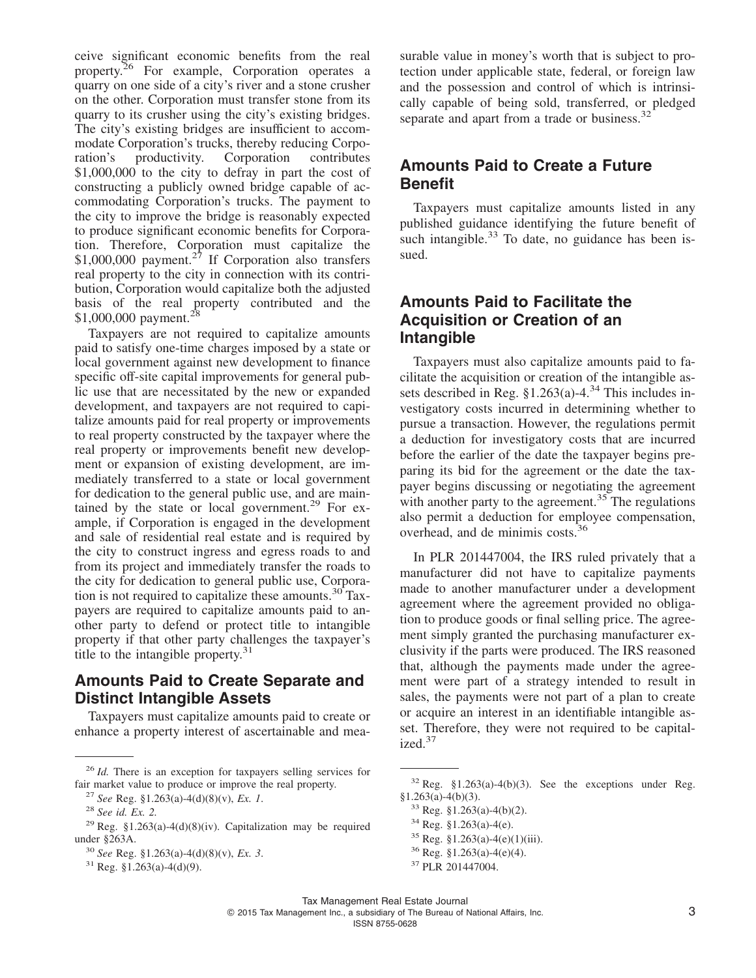ceive significant economic benefits from the real property.<sup>26</sup> For example, Corporation operates a quarry on one side of a city's river and a stone crusher on the other. Corporation must transfer stone from its quarry to its crusher using the city's existing bridges. The city's existing bridges are insufficient to accommodate Corporation's trucks, thereby reducing Corporation<br>ration's productivity. Corporation contributes ration's productivity. Corporation contributes \$1,000,000 to the city to defray in part the cost of constructing a publicly owned bridge capable of accommodating Corporation's trucks. The payment to the city to improve the bridge is reasonably expected to produce significant economic benefits for Corporation. Therefore, Corporation must capitalize the \$1,000,000 payment.<sup>27</sup> If Corporation also transfers real property to the city in connection with its contribution, Corporation would capitalize both the adjusted basis of the real property contributed and the \$1,000,000 payment.<sup>28</sup>

Taxpayers are not required to capitalize amounts paid to satisfy one-time charges imposed by a state or local government against new development to finance specific off-site capital improvements for general public use that are necessitated by the new or expanded development, and taxpayers are not required to capitalize amounts paid for real property or improvements to real property constructed by the taxpayer where the real property or improvements benefit new development or expansion of existing development, are immediately transferred to a state or local government for dedication to the general public use, and are maintained by the state or local government.<sup>29</sup> For example, if Corporation is engaged in the development and sale of residential real estate and is required by the city to construct ingress and egress roads to and from its project and immediately transfer the roads to the city for dedication to general public use, Corporation is not required to capitalize these amounts. $30^{\circ}$ Taxpayers are required to capitalize amounts paid to another party to defend or protect title to intangible property if that other party challenges the taxpayer's title to the intangible property.<sup>31</sup>

### **Amounts Paid to Create Separate and Distinct Intangible Assets**

Taxpayers must capitalize amounts paid to create or enhance a property interest of ascertainable and mea-

<sup>27</sup> *See* Reg. §1.263(a)-4(d)(8)(v), *Ex. 1*.

surable value in money's worth that is subject to protection under applicable state, federal, or foreign law and the possession and control of which is intrinsically capable of being sold, transferred, or pledged separate and apart from a trade or business.<sup>32</sup>

### **Amounts Paid to Create a Future Benefit**

Taxpayers must capitalize amounts listed in any published guidance identifying the future benefit of such intangible. $33$  To date, no guidance has been issued.

### **Amounts Paid to Facilitate the Acquisition or Creation of an Intangible**

Taxpayers must also capitalize amounts paid to facilitate the acquisition or creation of the intangible assets described in Reg.  $$1.263(a)-4.^{34}$  This includes investigatory costs incurred in determining whether to pursue a transaction. However, the regulations permit a deduction for investigatory costs that are incurred before the earlier of the date the taxpayer begins preparing its bid for the agreement or the date the taxpayer begins discussing or negotiating the agreement with another party to the agreement.<sup>35</sup> The regulations also permit a deduction for employee compensation, overhead, and de minimis costs.<sup>36</sup>

In PLR 201447004, the IRS ruled privately that a manufacturer did not have to capitalize payments made to another manufacturer under a development agreement where the agreement provided no obligation to produce goods or final selling price. The agreement simply granted the purchasing manufacturer exclusivity if the parts were produced. The IRS reasoned that, although the payments made under the agreement were part of a strategy intended to result in sales, the payments were not part of a plan to create or acquire an interest in an identifiable intangible asset. Therefore, they were not required to be capitalized.<sup>37</sup>

- $34$  Reg. §1.263(a)-4(e).
- $35$  Reg. §1.263(a)-4(e)(1)(iii).
- $36$  Reg. §1.263(a)-4(e)(4).

ISSN 8755-0628

<sup>26</sup> *Id.* There is an exception for taxpayers selling services for fair market value to produce or improve the real property.

<sup>28</sup> *See id. Ex. 2.*

<sup>&</sup>lt;sup>29</sup> Reg. §1.263(a)-4(d)(8)(iv). Capitalization may be required under §263A.

<sup>30</sup> *See* Reg. §1.263(a)-4(d)(8)(v), *Ex. 3*.

 $31$  Reg. §1.263(a)-4(d)(9).

 $32$  Reg. §1.263(a)-4(b)(3). See the exceptions under Reg. §1.263(a)-4(b)(3).

<sup>33</sup> Reg. §1.263(a)-4(b)(2).

<sup>37</sup> PLR 201447004.

Tax Management Real Estate Journal © 2015 Tax Management Inc., a subsidiary of The Bureau of National Affairs, Inc. 3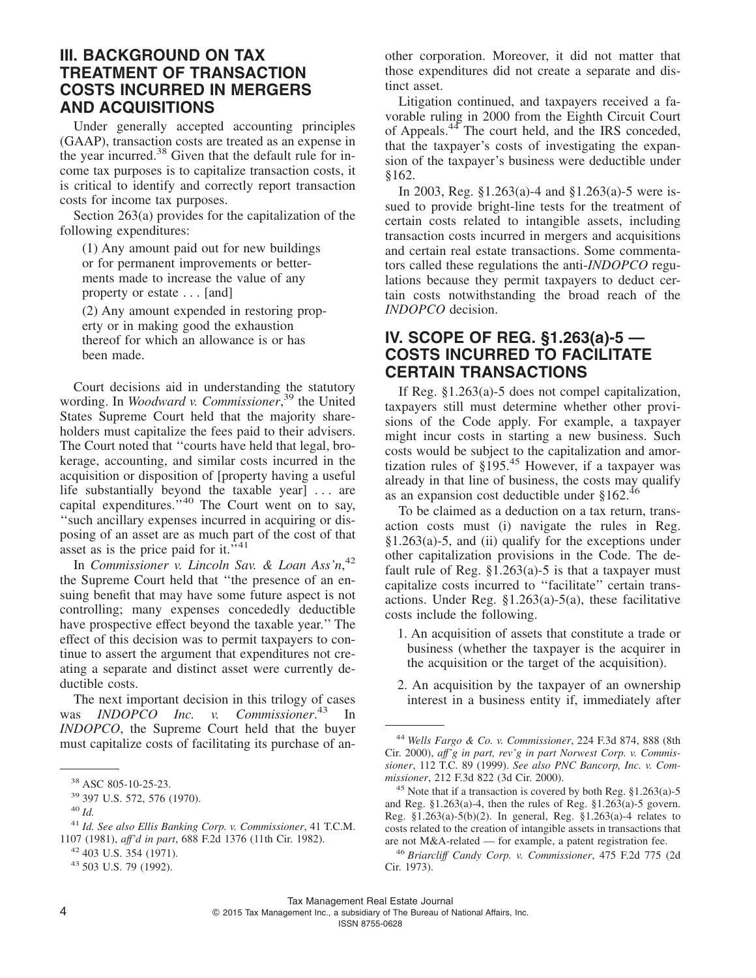### **III. BACKGROUND ON TAX TREATMENT OF TRANSACTION COSTS INCURRED IN MERGERS AND ACQUISITIONS**

Under generally accepted accounting principles (GAAP), transaction costs are treated as an expense in the year incurred.38 Given that the default rule for income tax purposes is to capitalize transaction costs, it is critical to identify and correctly report transaction costs for income tax purposes.

Section 263(a) provides for the capitalization of the following expenditures:

(1) Any amount paid out for new buildings or for permanent improvements or betterments made to increase the value of any property or estate . . . [and]

(2) Any amount expended in restoring property or in making good the exhaustion thereof for which an allowance is or has been made.

Court decisions aid in understanding the statutory wording. In *Woodward v. Commissioner*, <sup>39</sup> the United States Supreme Court held that the majority shareholders must capitalize the fees paid to their advisers. The Court noted that ''courts have held that legal, brokerage, accounting, and similar costs incurred in the acquisition or disposition of [property having a useful life substantially beyond the taxable year] . . . are capital expenditures."<sup>40</sup> The Court went on to say, ''such ancillary expenses incurred in acquiring or disposing of an asset are as much part of the cost of that asset as is the price paid for it.<sup>541</sup>

In *Commissioner v. Lincoln Sav. & Loan Ass'n*, 42 the Supreme Court held that ''the presence of an ensuing benefit that may have some future aspect is not controlling; many expenses concededly deductible have prospective effect beyond the taxable year.'' The effect of this decision was to permit taxpayers to continue to assert the argument that expenditures not creating a separate and distinct asset were currently deductible costs.

The next important decision in this trilogy of cases was *INDOPCO Inc. v. Commissioner*. <sup>43</sup> In *INDOPCO*, the Supreme Court held that the buyer must capitalize costs of facilitating its purchase of another corporation. Moreover, it did not matter that those expenditures did not create a separate and distinct asset.

Litigation continued, and taxpayers received a favorable ruling in 2000 from the Eighth Circuit Court of Appeals.<sup>44</sup> The court held, and the IRS conceded, that the taxpayer's costs of investigating the expansion of the taxpayer's business were deductible under §162.

In 2003, Reg. §1.263(a)-4 and §1.263(a)-5 were issued to provide bright-line tests for the treatment of certain costs related to intangible assets, including transaction costs incurred in mergers and acquisitions and certain real estate transactions. Some commentators called these regulations the anti-*INDOPCO* regulations because they permit taxpayers to deduct certain costs notwithstanding the broad reach of the *INDOPCO* decision.

### **IV. SCOPE OF REG. §1.263(a)-5 — COSTS INCURRED TO FACILITATE CERTAIN TRANSACTIONS**

If Reg. §1.263(a)-5 does not compel capitalization, taxpayers still must determine whether other provisions of the Code apply. For example, a taxpayer might incur costs in starting a new business. Such costs would be subject to the capitalization and amortization rules of  $\S$ 195.<sup>45</sup> However, if a taxpayer was already in that line of business, the costs may qualify as an expansion cost deductible under §162.4

To be claimed as a deduction on a tax return, transaction costs must (i) navigate the rules in Reg. §1.263(a)-5, and (ii) qualify for the exceptions under other capitalization provisions in the Code. The default rule of Reg.  $\S1.263(a)$ -5 is that a taxpayer must capitalize costs incurred to ''facilitate'' certain transactions. Under Reg.  $$1.263(a)-5(a)$ , these facilitative costs include the following.

- 1. An acquisition of assets that constitute a trade or business (whether the taxpayer is the acquirer in the acquisition or the target of the acquisition).
- 2. An acquisition by the taxpayer of an ownership interest in a business entity if, immediately after

 $4 \qquad \qquad \circ$ 2015 Tax Management Inc., a subsidiary of The Bureau of National Affairs, Inc.

<sup>38</sup> ASC 805-10-25-23.

<sup>39</sup> 397 U.S. 572, 576 (1970).

<sup>40</sup> *Id.*

<sup>41</sup> *Id. See also Ellis Banking Corp. v. Commissioner*, 41 T.C.M. 1107 (1981), *aff'd in part*, 688 F.2d 1376 (11th Cir. 1982).

<sup>42</sup> 403 U.S. 354 (1971).

<sup>43</sup> 503 U.S. 79 (1992).

<sup>44</sup> *Wells Fargo & Co. v. Commissioner*, 224 F.3d 874, 888 (8th Cir. 2000), *aff'g in part, rev'g in part Norwest Corp. v. Commissioner*, 112 T.C. 89 (1999). *See also PNC Bancorp, Inc. v. Commissioner*, 212 F.3d 822 (3d Cir. 2000).

<sup>&</sup>lt;sup>45</sup> Note that if a transaction is covered by both Reg.  $§1.263(a)-5$ and Reg. §1.263(a)-4, then the rules of Reg. §1.263(a)-5 govern. Reg. §1.263(a)-5(b)(2). In general, Reg. §1.263(a)-4 relates to costs related to the creation of intangible assets in transactions that are not M&A-related — for example, a patent registration fee.

<sup>46</sup> *Briarcliff Candy Corp. v. Commissioner*, 475 F.2d 775 (2d Cir. 1973).

Tax Management Real Estate Journal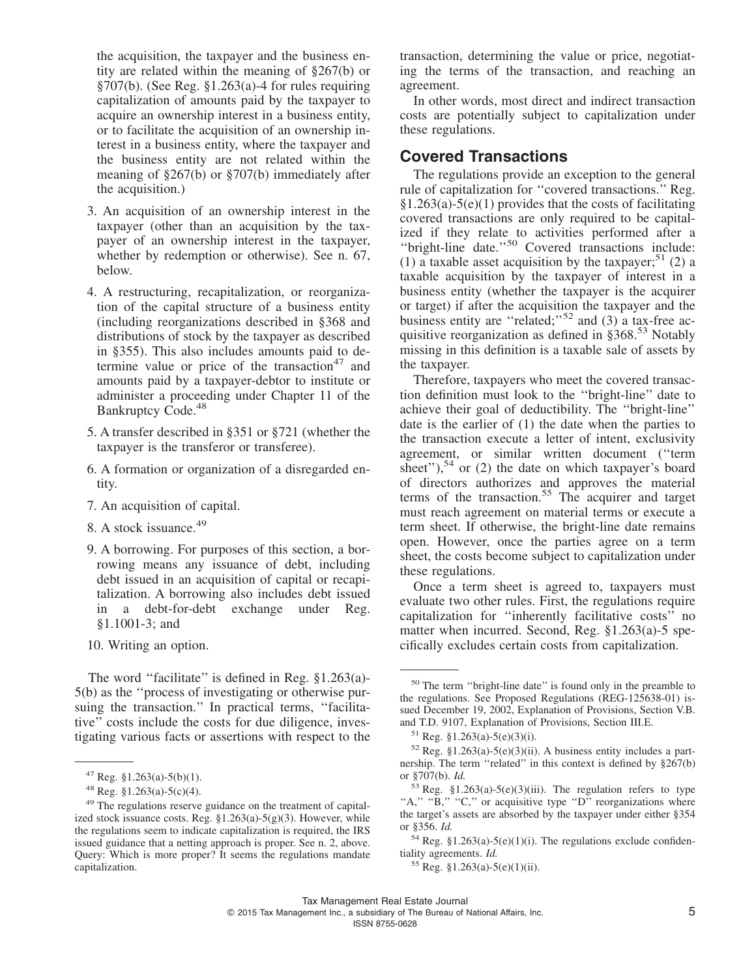the acquisition, the taxpayer and the business entity are related within the meaning of §267(b) or §707(b). (See Reg. §1.263(a)-4 for rules requiring capitalization of amounts paid by the taxpayer to acquire an ownership interest in a business entity, or to facilitate the acquisition of an ownership interest in a business entity, where the taxpayer and the business entity are not related within the meaning of §267(b) or §707(b) immediately after the acquisition.)

- 3. An acquisition of an ownership interest in the taxpayer (other than an acquisition by the taxpayer of an ownership interest in the taxpayer, whether by redemption or otherwise). See n. 67, below.
- 4. A restructuring, recapitalization, or reorganization of the capital structure of a business entity (including reorganizations described in §368 and distributions of stock by the taxpayer as described in §355). This also includes amounts paid to determine value or price of the transaction<sup>47</sup> and amounts paid by a taxpayer-debtor to institute or administer a proceeding under Chapter 11 of the Bankruptcy Code.<sup>48</sup>
- 5. A transfer described in §351 or §721 (whether the taxpayer is the transferor or transferee).
- 6. A formation or organization of a disregarded entity.
- 7. An acquisition of capital.
- 8. A stock issuance.<sup>49</sup>
- 9. A borrowing. For purposes of this section, a borrowing means any issuance of debt, including debt issued in an acquisition of capital or recapitalization. A borrowing also includes debt issued in a debt-for-debt exchange under Reg. §1.1001-3; and
- 10. Writing an option.

The word "facilitate" is defined in Reg. §1.263(a)-5(b) as the ''process of investigating or otherwise pursuing the transaction." In practical terms, "facilitative'' costs include the costs for due diligence, investigating various facts or assertions with respect to the

transaction, determining the value or price, negotiating the terms of the transaction, and reaching an agreement.

In other words, most direct and indirect transaction costs are potentially subject to capitalization under these regulations.

### **Covered Transactions**

The regulations provide an exception to the general rule of capitalization for ''covered transactions.'' Reg.  $§1.263(a)-5(e)(1)$  provides that the costs of facilitating covered transactions are only required to be capitalized if they relate to activities performed after a ''bright-line date.''<sup>50</sup> Covered transactions include: (1) a taxable asset acquisition by the taxpayer;<sup>51</sup> (2) a taxable acquisition by the taxpayer of interest in a business entity (whether the taxpayer is the acquirer or target) if after the acquisition the taxpayer and the business entity are "related;"<sup>52</sup> and (3) a tax-free acquisitive reorganization as defined in  $\S 368$ <sup>53</sup> Notably missing in this definition is a taxable sale of assets by the taxpayer.

Therefore, taxpayers who meet the covered transaction definition must look to the ''bright-line'' date to achieve their goal of deductibility. The ''bright-line'' date is the earlier of (1) the date when the parties to the transaction execute a letter of intent, exclusivity agreement, or similar written document (''term sheet"),<sup>54</sup> or (2) the date on which taxpayer's board of directors authorizes and approves the material terms of the transaction.<sup>55</sup> The acquirer and target must reach agreement on material terms or execute a term sheet. If otherwise, the bright-line date remains open. However, once the parties agree on a term sheet, the costs become subject to capitalization under these regulations.

Once a term sheet is agreed to, taxpayers must evaluate two other rules. First, the regulations require capitalization for ''inherently facilitative costs'' no matter when incurred. Second, Reg. §1.263(a)-5 specifically excludes certain costs from capitalization.

 $47$  Reg. §1.263(a)-5(b)(1).

<sup>48</sup> Reg. §1.263(a)-5(c)(4).

<sup>49</sup> The regulations reserve guidance on the treatment of capitalized stock issuance costs. Reg. §1.263(a)-5(g)(3). However, while the regulations seem to indicate capitalization is required, the IRS issued guidance that a netting approach is proper. See n. 2, above. Query: Which is more proper? It seems the regulations mandate capitalization.

<sup>50</sup> The term ''bright-line date'' is found only in the preamble to the regulations. See Proposed Regulations (REG-125638-01) issued December 19, 2002, Explanation of Provisions, Section V.B. and T.D. 9107, Explanation of Provisions, Section III.E.

<sup>51</sup> Reg. §1.263(a)-5(e)(3)(i).

 $52$  Reg. §1.263(a)-5(e)(3)(ii). A business entity includes a partnership. The term ''related'' in this context is defined by §267(b) or §707(b). *Id.*

 $53$  Reg. §1.263(a)-5(e)(3)(iii). The regulation refers to type "A," "B," "C," or acquisitive type "D" reorganizations where the target's assets are absorbed by the taxpayer under either §354 or §356. *Id.*

 $54$  Reg. §1.263(a)-5(e)(1)(i). The regulations exclude confidentiality agreements. *Id.*

 $55$  Reg. §1.263(a)-5(e)(1)(ii).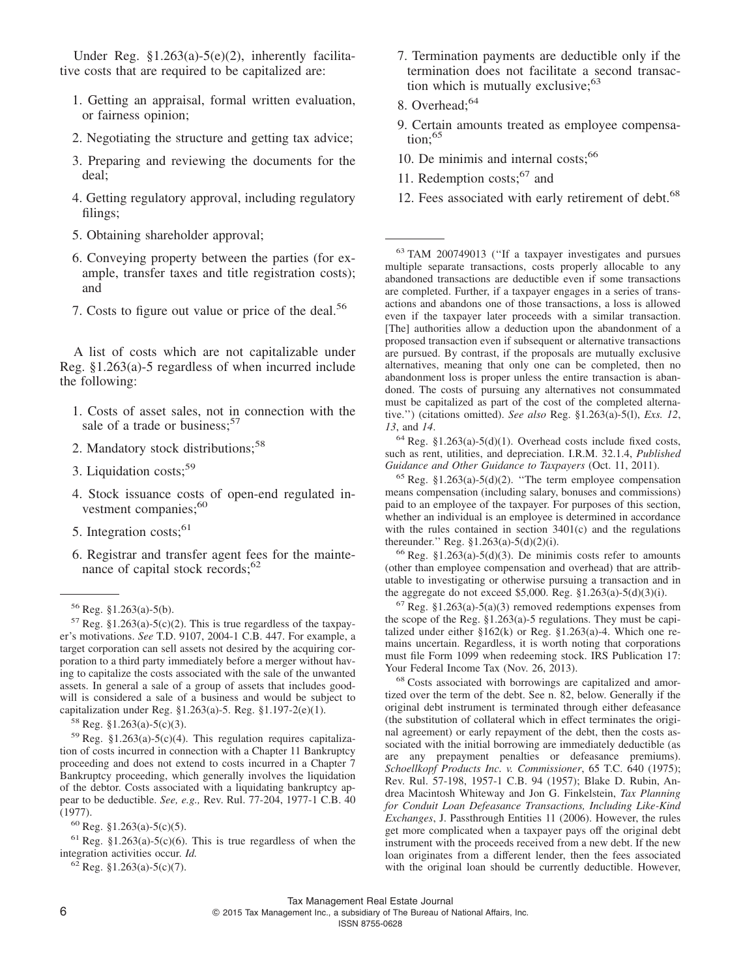Under Reg.  $$1.263(a)-5(e)(2)$ , inherently facilitative costs that are required to be capitalized are:

- 1. Getting an appraisal, formal written evaluation, or fairness opinion;
- 2. Negotiating the structure and getting tax advice;
- 3. Preparing and reviewing the documents for the deal;
- 4. Getting regulatory approval, including regulatory filings;
- 5. Obtaining shareholder approval;
- 6. Conveying property between the parties (for example, transfer taxes and title registration costs); and
- 7. Costs to figure out value or price of the deal.<sup>56</sup>

A list of costs which are not capitalizable under Reg. §1.263(a)-5 regardless of when incurred include the following:

- 1. Costs of asset sales, not in connection with the sale of a trade or business; $57$
- 2. Mandatory stock distributions;<sup>58</sup>
- 3. Liquidation costs;<sup>59</sup>
- 4. Stock issuance costs of open-end regulated investment companies;<sup>60</sup>
- 5. Integration costs: $61$
- 6. Registrar and transfer agent fees for the maintenance of capital stock records;<sup>62</sup>

<sup>58</sup> Reg. §1.263(a)-5(c)(3).

<sup>59</sup> Reg. §1.263(a)-5(c)(4). This regulation requires capitalization of costs incurred in connection with a Chapter 11 Bankruptcy proceeding and does not extend to costs incurred in a Chapter 7 Bankruptcy proceeding, which generally involves the liquidation of the debtor. Costs associated with a liquidating bankruptcy appear to be deductible. *See, e.g.,* Rev. Rul. 77-204, 1977-1 C.B. 40 (1977).

 $61$  Reg. §1.263(a)-5(c)(6). This is true regardless of when the integration activities occur. *Id.*

 $62$  Reg. §1.263(a)-5(c)(7).

- 7. Termination payments are deductible only if the termination does not facilitate a second transaction which is mutually exclusive; $63$
- 8. Overhead:<sup>64</sup>
- 9. Certain amounts treated as employee compensa- $\text{tion:}^{65}$
- 10. De minimis and internal costs;<sup>66</sup>
- 11. Redemption costs;<sup>67</sup> and
- 12. Fees associated with early retirement of debt.<sup>68</sup>

<sup>63</sup> TAM 200749013 (''If a taxpayer investigates and pursues multiple separate transactions, costs properly allocable to any abandoned transactions are deductible even if some transactions are completed. Further, if a taxpayer engages in a series of transactions and abandons one of those transactions, a loss is allowed even if the taxpayer later proceeds with a similar transaction. [The] authorities allow a deduction upon the abandonment of a proposed transaction even if subsequent or alternative transactions are pursued. By contrast, if the proposals are mutually exclusive alternatives, meaning that only one can be completed, then no abandonment loss is proper unless the entire transaction is abandoned. The costs of pursuing any alternatives not consummated must be capitalized as part of the cost of the completed alternative.'') (citations omitted). *See also* Reg. §1.263(a)-5(l), *Exs. 12*, *13*, and *14*.

 $64$  Reg. §1.263(a)-5(d)(1). Overhead costs include fixed costs, such as rent, utilities, and depreciation. I.R.M. 32.1.4, *Published Guidance and Other Guidance to Taxpayers* (Oct. 11, 2011).

 $65$  Reg. §1.263(a)-5(d)(2). "The term employee compensation means compensation (including salary, bonuses and commissions) paid to an employee of the taxpayer. For purposes of this section, whether an individual is an employee is determined in accordance with the rules contained in section 3401(c) and the regulations thereunder.'' Reg. §1.263(a)-5(d)(2)(i).

 $66$  Reg. §1.263(a)-5(d)(3). De minimis costs refer to amounts (other than employee compensation and overhead) that are attributable to investigating or otherwise pursuing a transaction and in the aggregate do not exceed \$5,000. Reg.  $$1.263(a)-5(d)(3)(i)$ .

 $67$  Reg. §1.263(a)-5(a)(3) removed redemptions expenses from the scope of the Reg. §1.263(a)-5 regulations. They must be capitalized under either §162(k) or Reg. §1.263(a)-4. Which one remains uncertain. Regardless, it is worth noting that corporations must file Form 1099 when redeeming stock. IRS Publication 17: Your Federal Income Tax (Nov. 26, 2013).

<sup>68</sup> Costs associated with borrowings are capitalized and amortized over the term of the debt. See n. 82, below. Generally if the original debt instrument is terminated through either defeasance (the substitution of collateral which in effect terminates the original agreement) or early repayment of the debt, then the costs associated with the initial borrowing are immediately deductible (as are any prepayment penalties or defeasance premiums). *Schoellkopf Products Inc. v. Commissioner*, 65 T.C. 640 (1975); Rev. Rul. 57-198, 1957-1 C.B. 94 (1957); Blake D. Rubin, Andrea Macintosh Whiteway and Jon G. Finkelstein, *Tax Planning for Conduit Loan Defeasance Transactions, Including Like-Kind Exchanges*, J. Passthrough Entities 11 (2006). However, the rules get more complicated when a taxpayer pays off the original debt instrument with the proceeds received from a new debt. If the new loan originates from a different lender, then the fees associated with the original loan should be currently deductible. However,

 $6$   $^{\circ}$ 2015 Tax Management Inc., a subsidiary of The Bureau of National Affairs, Inc.

ISSN 8755-0628

<sup>56</sup> Reg. §1.263(a)-5(b).

 $57$  Reg. §1.263(a)-5(c)(2). This is true regardless of the taxpayer's motivations. *See* T.D. 9107, 2004-1 C.B. 447. For example, a target corporation can sell assets not desired by the acquiring corporation to a third party immediately before a merger without having to capitalize the costs associated with the sale of the unwanted assets. In general a sale of a group of assets that includes goodwill is considered a sale of a business and would be subject to capitalization under Reg. §1.263(a)-5. Reg. §1.197-2(e)(1).

 $60$  Reg. §1.263(a)-5(c)(5).

Tax Management Real Estate Journal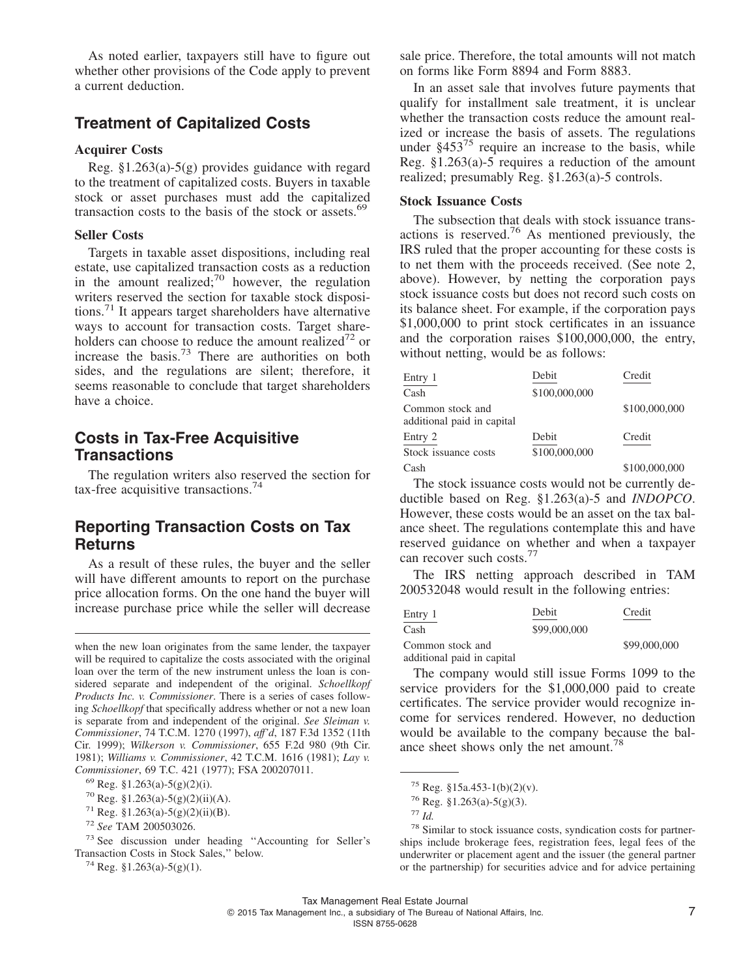As noted earlier, taxpayers still have to figure out whether other provisions of the Code apply to prevent a current deduction.

### **Treatment of Capitalized Costs**

#### **Acquirer Costs**

Reg. §1.263(a)-5(g) provides guidance with regard to the treatment of capitalized costs. Buyers in taxable stock or asset purchases must add the capitalized transaction costs to the basis of the stock or assets. $69$ 

#### **Seller Costs**

Targets in taxable asset dispositions, including real estate, use capitalized transaction costs as a reduction in the amount realized;<sup>70</sup> however, the regulation writers reserved the section for taxable stock dispositions.<sup>71</sup> It appears target shareholders have alternative ways to account for transaction costs. Target shareholders can choose to reduce the amount realized<sup>72</sup> or increase the basis.<sup>73</sup> There are authorities on both sides, and the regulations are silent; therefore, it seems reasonable to conclude that target shareholders have a choice.

### **Costs in Tax-Free Acquisitive Transactions**

The regulation writers also reserved the section for tax-free acquisitive transactions.<sup>74</sup>

### **Reporting Transaction Costs on Tax Returns**

As a result of these rules, the buyer and the seller will have different amounts to report on the purchase price allocation forms. On the one hand the buyer will increase purchase price while the seller will decrease

sale price. Therefore, the total amounts will not match on forms like Form 8894 and Form 8883.

In an asset sale that involves future payments that qualify for installment sale treatment, it is unclear whether the transaction costs reduce the amount realized or increase the basis of assets. The regulations under  $§453^{75}$  require an increase to the basis, while Reg.  $$1.263(a)$ -5 requires a reduction of the amount realized; presumably Reg. §1.263(a)-5 controls.

#### **Stock Issuance Costs**

The subsection that deals with stock issuance transactions is reserved.<sup>76</sup> As mentioned previously, the IRS ruled that the proper accounting for these costs is to net them with the proceeds received. (See note 2, above). However, by netting the corporation pays stock issuance costs but does not record such costs on its balance sheet. For example, if the corporation pays \$1,000,000 to print stock certificates in an issuance and the corporation raises \$100,000,000, the entry, without netting, would be as follows:

| Entry 1                                        | Debit         | Credit        |
|------------------------------------------------|---------------|---------------|
| Cash                                           | \$100,000,000 |               |
| Common stock and<br>additional paid in capital |               | \$100,000,000 |
| Entry 2                                        | Debit         | Credit        |
| Stock issuance costs                           | \$100,000,000 |               |
| Cash                                           |               | \$100,000,000 |

The stock issuance costs would not be currently deductible based on Reg. §1.263(a)-5 and *INDOPCO*. However, these costs would be an asset on the tax balance sheet. The regulations contemplate this and have reserved guidance on whether and when a taxpayer can recover such costs.<sup>77</sup>

The IRS netting approach described in TAM 200532048 would result in the following entries:

| Entry 1                    | Debit        | Credit       |
|----------------------------|--------------|--------------|
| Cash                       | \$99,000,000 |              |
| Common stock and           |              | \$99,000,000 |
| additional paid in capital |              |              |

The company would still issue Forms 1099 to the service providers for the \$1,000,000 paid to create certificates. The service provider would recognize income for services rendered. However, no deduction would be available to the company because the balance sheet shows only the net amount.<sup>78</sup>

when the new loan originates from the same lender, the taxpayer will be required to capitalize the costs associated with the original loan over the term of the new instrument unless the loan is considered separate and independent of the original. *Schoellkopf Products Inc. v. Commissioner*. There is a series of cases following *Schoellkopf* that specifically address whether or not a new loan is separate from and independent of the original. *See Sleiman v. Commissioner*, 74 T.C.M. 1270 (1997), *aff'd*, 187 F.3d 1352 (11th Cir. 1999); *Wilkerson v. Commissioner*, 655 F.2d 980 (9th Cir. 1981); *Williams v. Commissioner*, 42 T.C.M. 1616 (1981); *Lay v. Commissioner*, 69 T.C. 421 (1977); FSA 200207011.

 $^{69}$  Reg. §1.263(a)-5(g)(2)(i).

 $70$  Reg. §1.263(a)-5(g)(2)(ii)(A).

 $71$  Reg. §1.263(a)-5(g)(2)(ii)(B).

<sup>72</sup> *See* TAM 200503026.

<sup>73</sup> See discussion under heading ''Accounting for Seller's Transaction Costs in Stock Sales,'' below.

<sup>&</sup>lt;sup>74</sup> Reg. §1.263(a)-5(g)(1).

<sup>75</sup> Reg. §15a.453-1(b)(2)(v).

<sup>76</sup> Reg. §1.263(a)-5(g)(3).

<sup>77</sup> *Id.*

<sup>78</sup> Similar to stock issuance costs, syndication costs for partnerships include brokerage fees, registration fees, legal fees of the underwriter or placement agent and the issuer (the general partner or the partnership) for securities advice and for advice pertaining

Tax Management Real Estate Journal © 2015 Tax Management Inc., a subsidiary of The Bureau of National Affairs, Inc. 7 ISSN 8755-0628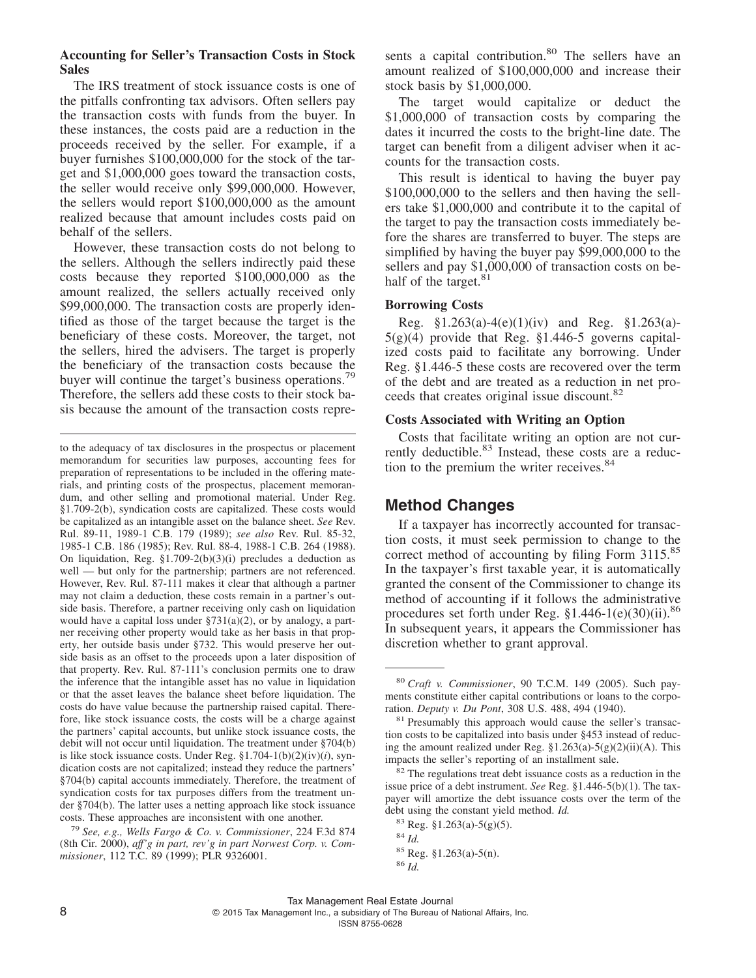#### **Accounting for Seller's Transaction Costs in Stock Sales**

The IRS treatment of stock issuance costs is one of the pitfalls confronting tax advisors. Often sellers pay the transaction costs with funds from the buyer. In these instances, the costs paid are a reduction in the proceeds received by the seller. For example, if a buyer furnishes \$100,000,000 for the stock of the target and \$1,000,000 goes toward the transaction costs, the seller would receive only \$99,000,000. However, the sellers would report \$100,000,000 as the amount realized because that amount includes costs paid on behalf of the sellers.

However, these transaction costs do not belong to the sellers. Although the sellers indirectly paid these costs because they reported \$100,000,000 as the amount realized, the sellers actually received only \$99,000,000. The transaction costs are properly identified as those of the target because the target is the beneficiary of these costs. Moreover, the target, not the sellers, hired the advisers. The target is properly the beneficiary of the transaction costs because the buyer will continue the target's business operations.<sup>79</sup> Therefore, the sellers add these costs to their stock basis because the amount of the transaction costs represents a capital contribution.<sup>80</sup> The sellers have an amount realized of \$100,000,000 and increase their stock basis by \$1,000,000.

The target would capitalize or deduct the \$1,000,000 of transaction costs by comparing the dates it incurred the costs to the bright-line date. The target can benefit from a diligent adviser when it accounts for the transaction costs.

This result is identical to having the buyer pay \$100,000,000 to the sellers and then having the sellers take \$1,000,000 and contribute it to the capital of the target to pay the transaction costs immediately before the shares are transferred to buyer. The steps are simplified by having the buyer pay \$99,000,000 to the sellers and pay \$1,000,000 of transaction costs on behalf of the target.<sup>81</sup>

#### **Borrowing Costs**

Reg. §1.263(a)-4(e)(1)(iv) and Reg. §1.263(a)-  $5(g)(4)$  provide that Reg. §1.446-5 governs capitalized costs paid to facilitate any borrowing. Under Reg. §1.446-5 these costs are recovered over the term of the debt and are treated as a reduction in net proceeds that creates original issue discount.<sup>82</sup>

#### **Costs Associated with Writing an Option**

Costs that facilitate writing an option are not currently deductible.<sup>83</sup> Instead, these costs are a reduction to the premium the writer receives.<sup>84</sup>

#### **Method Changes**

If a taxpayer has incorrectly accounted for transaction costs, it must seek permission to change to the correct method of accounting by filing Form 3115.<sup>85</sup> In the taxpayer's first taxable year, it is automatically granted the consent of the Commissioner to change its method of accounting if it follows the administrative procedures set forth under Reg.  $$1.446-1(e)(30)(ii).$ <sup>86</sup> In subsequent years, it appears the Commissioner has discretion whether to grant approval.

to the adequacy of tax disclosures in the prospectus or placement memorandum for securities law purposes, accounting fees for preparation of representations to be included in the offering materials, and printing costs of the prospectus, placement memorandum, and other selling and promotional material. Under Reg. §1.709-2(b), syndication costs are capitalized. These costs would be capitalized as an intangible asset on the balance sheet. *See* Rev. Rul. 89-11, 1989-1 C.B. 179 (1989); *see also* Rev. Rul. 85-32, 1985-1 C.B. 186 (1985); Rev. Rul. 88-4, 1988-1 C.B. 264 (1988). On liquidation, Reg. §1.709-2(b)(3)(i) precludes a deduction as well — but only for the partnership; partners are not referenced. However, Rev. Rul. 87-111 makes it clear that although a partner may not claim a deduction, these costs remain in a partner's outside basis. Therefore, a partner receiving only cash on liquidation would have a capital loss under  $\S 731(a)(2)$ , or by analogy, a partner receiving other property would take as her basis in that property, her outside basis under §732. This would preserve her outside basis as an offset to the proceeds upon a later disposition of that property. Rev. Rul. 87-111's conclusion permits one to draw the inference that the intangible asset has no value in liquidation or that the asset leaves the balance sheet before liquidation. The costs do have value because the partnership raised capital. Therefore, like stock issuance costs, the costs will be a charge against the partners' capital accounts, but unlike stock issuance costs, the debit will not occur until liquidation. The treatment under §704(b) is like stock issuance costs. Under Reg. §1.704-1(b)(2)(iv)(*i*), syndication costs are not capitalized; instead they reduce the partners' §704(b) capital accounts immediately. Therefore, the treatment of syndication costs for tax purposes differs from the treatment under §704(b). The latter uses a netting approach like stock issuance costs. These approaches are inconsistent with one another.

<sup>79</sup> *See, e.g., Wells Fargo & Co. v. Commissioner*, 224 F.3d 874 (8th Cir. 2000), *aff'g in part, rev'g in part Norwest Corp. v. Commissioner*, 112 T.C. 89 (1999); PLR 9326001.

<sup>80</sup> *Craft v. Commissioner*, 90 T.C.M. 149 (2005). Such payments constitute either capital contributions or loans to the corporation. *Deputy v. Du Pont*, 308 U.S. 488, 494 (1940).

<sup>&</sup>lt;sup>81</sup> Presumably this approach would cause the seller's transaction costs to be capitalized into basis under §453 instead of reducing the amount realized under Reg. §1.263(a)-5(g)(2)(ii)(A). This impacts the seller's reporting of an installment sale.

<sup>82</sup> The regulations treat debt issuance costs as a reduction in the issue price of a debt instrument. *See* Reg. §1.446-5(b)(1). The taxpayer will amortize the debt issuance costs over the term of the debt using the constant yield method. *Id.*

 $83$  Reg. §1.263(a)-5(g)(5).

<sup>84</sup> *Id.*

<sup>85</sup> Reg. §1.263(a)-5(n).

<sup>86</sup> *Id.*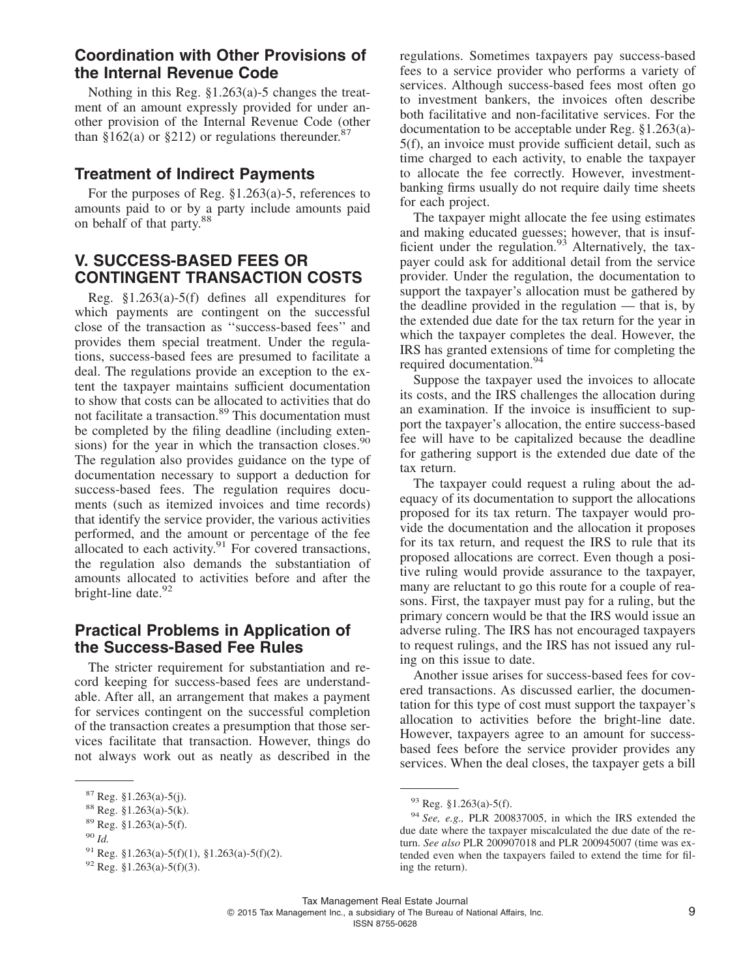### **Coordination with Other Provisions of the Internal Revenue Code**

Nothing in this Reg. §1.263(a)-5 changes the treatment of an amount expressly provided for under another provision of the Internal Revenue Code (other than §162(a) or §212) or regulations thereunder.<sup>87</sup>

### **Treatment of Indirect Payments**

For the purposes of Reg. §1.263(a)-5, references to amounts paid to or by a party include amounts paid on behalf of that party.<sup>88</sup>

### **V. SUCCESS-BASED FEES OR CONTINGENT TRANSACTION COSTS**

Reg. §1.263(a)-5(f) defines all expenditures for which payments are contingent on the successful close of the transaction as ''success-based fees'' and provides them special treatment. Under the regulations, success-based fees are presumed to facilitate a deal. The regulations provide an exception to the extent the taxpayer maintains sufficient documentation to show that costs can be allocated to activities that do not facilitate a transaction.<sup>89</sup> This documentation must be completed by the filing deadline (including extensions) for the year in which the transaction closes.<sup>90</sup> The regulation also provides guidance on the type of documentation necessary to support a deduction for success-based fees. The regulation requires documents (such as itemized invoices and time records) that identify the service provider, the various activities performed, and the amount or percentage of the fee allocated to each activity. $91$  For covered transactions, the regulation also demands the substantiation of amounts allocated to activities before and after the bright-line date.<sup>92</sup>

### **Practical Problems in Application of the Success-Based Fee Rules**

The stricter requirement for substantiation and record keeping for success-based fees are understandable. After all, an arrangement that makes a payment for services contingent on the successful completion of the transaction creates a presumption that those services facilitate that transaction. However, things do not always work out as neatly as described in the

regulations. Sometimes taxpayers pay success-based fees to a service provider who performs a variety of services. Although success-based fees most often go to investment bankers, the invoices often describe both facilitative and non-facilitative services. For the documentation to be acceptable under Reg. §1.263(a)- 5(f), an invoice must provide sufficient detail, such as time charged to each activity, to enable the taxpayer to allocate the fee correctly. However, investmentbanking firms usually do not require daily time sheets for each project.

The taxpayer might allocate the fee using estimates and making educated guesses; however, that is insufficient under the regulation. $93$  Alternatively, the taxpayer could ask for additional detail from the service provider. Under the regulation, the documentation to support the taxpayer's allocation must be gathered by the deadline provided in the regulation — that is, by the extended due date for the tax return for the year in which the taxpayer completes the deal. However, the IRS has granted extensions of time for completing the required documentation.<sup>94</sup>

Suppose the taxpayer used the invoices to allocate its costs, and the IRS challenges the allocation during an examination. If the invoice is insufficient to support the taxpayer's allocation, the entire success-based fee will have to be capitalized because the deadline for gathering support is the extended due date of the tax return.

The taxpayer could request a ruling about the adequacy of its documentation to support the allocations proposed for its tax return. The taxpayer would provide the documentation and the allocation it proposes for its tax return, and request the IRS to rule that its proposed allocations are correct. Even though a positive ruling would provide assurance to the taxpayer, many are reluctant to go this route for a couple of reasons. First, the taxpayer must pay for a ruling, but the primary concern would be that the IRS would issue an adverse ruling. The IRS has not encouraged taxpayers to request rulings, and the IRS has not issued any ruling on this issue to date.

Another issue arises for success-based fees for covered transactions. As discussed earlier, the documentation for this type of cost must support the taxpayer's allocation to activities before the bright-line date. However, taxpayers agree to an amount for successbased fees before the service provider provides any services. When the deal closes, the taxpayer gets a bill

<sup>87</sup> Reg. §1.263(a)-5(j).

<sup>88</sup> Reg. §1.263(a)-5(k).

<sup>89</sup> Reg. §1.263(a)-5(f).

<sup>90</sup> *Id.*

 $^{91}$  Reg. §1.263(a)-5(f)(1), §1.263(a)-5(f)(2).

 $92$  Reg. §1.263(a)-5(f)(3).

<sup>93</sup> Reg. §1.263(a)-5(f).

<sup>94</sup> *See, e.g.,* PLR 200837005, in which the IRS extended the due date where the taxpayer miscalculated the due date of the return. *See also* PLR 200907018 and PLR 200945007 (time was extended even when the taxpayers failed to extend the time for filing the return).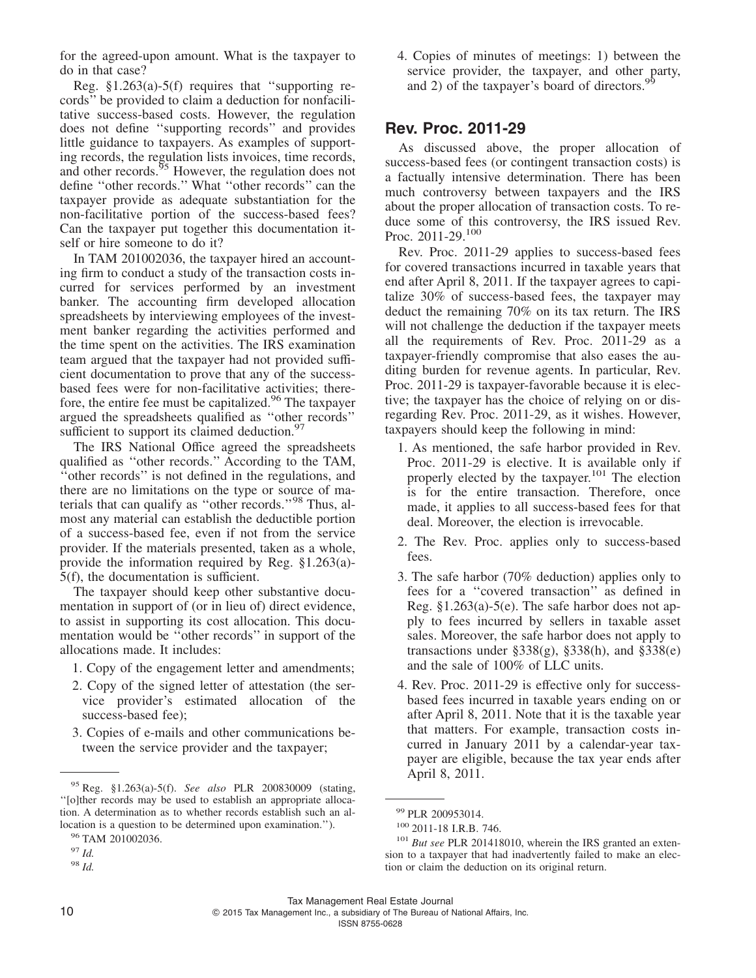for the agreed-upon amount. What is the taxpayer to do in that case?

Reg.  $$1.263(a)-5(f)$  requires that "supporting records'' be provided to claim a deduction for nonfacilitative success-based costs. However, the regulation does not define ''supporting records'' and provides little guidance to taxpayers. As examples of supporting records, the regulation lists invoices, time records, and other records.<sup>95</sup> However, the regulation does not define ''other records.'' What ''other records'' can the taxpayer provide as adequate substantiation for the non-facilitative portion of the success-based fees? Can the taxpayer put together this documentation itself or hire someone to do it?

In TAM 201002036, the taxpayer hired an accounting firm to conduct a study of the transaction costs incurred for services performed by an investment banker. The accounting firm developed allocation spreadsheets by interviewing employees of the investment banker regarding the activities performed and the time spent on the activities. The IRS examination team argued that the taxpayer had not provided sufficient documentation to prove that any of the successbased fees were for non-facilitative activities; therefore, the entire fee must be capitalized.<sup>96</sup> The taxpayer argued the spreadsheets qualified as ''other records'' sufficient to support its claimed deduction.<sup>97</sup>

The IRS National Office agreed the spreadsheets qualified as ''other records.'' According to the TAM, ''other records'' is not defined in the regulations, and there are no limitations on the type or source of materials that can qualify as ''other records.''<sup>98</sup> Thus, almost any material can establish the deductible portion of a success-based fee, even if not from the service provider. If the materials presented, taken as a whole, provide the information required by Reg. §1.263(a)- 5(f), the documentation is sufficient.

The taxpayer should keep other substantive documentation in support of (or in lieu of) direct evidence, to assist in supporting its cost allocation. This documentation would be ''other records'' in support of the allocations made. It includes:

- 1. Copy of the engagement letter and amendments;
- 2. Copy of the signed letter of attestation (the service provider's estimated allocation of the success-based fee);
- 3. Copies of e-mails and other communications between the service provider and the taxpayer;

4. Copies of minutes of meetings: 1) between the service provider, the taxpayer, and other party, and 2) of the taxpayer's board of directors.<sup>9</sup>

### **Rev. Proc. 2011-29**

As discussed above, the proper allocation of success-based fees (or contingent transaction costs) is a factually intensive determination. There has been much controversy between taxpayers and the IRS about the proper allocation of transaction costs. To reduce some of this controversy, the IRS issued Rev. Proc. 2011-29.<sup>100</sup>

Rev. Proc. 2011-29 applies to success-based fees for covered transactions incurred in taxable years that end after April 8, 2011. If the taxpayer agrees to capitalize 30% of success-based fees, the taxpayer may deduct the remaining 70% on its tax return. The IRS will not challenge the deduction if the taxpayer meets all the requirements of Rev. Proc. 2011-29 as a taxpayer-friendly compromise that also eases the auditing burden for revenue agents. In particular, Rev. Proc. 2011-29 is taxpayer-favorable because it is elective; the taxpayer has the choice of relying on or disregarding Rev. Proc. 2011-29, as it wishes. However, taxpayers should keep the following in mind:

- 1. As mentioned, the safe harbor provided in Rev. Proc. 2011-29 is elective. It is available only if properly elected by the taxpayer.<sup>101</sup> The election is for the entire transaction. Therefore, once made, it applies to all success-based fees for that deal. Moreover, the election is irrevocable.
- 2. The Rev. Proc. applies only to success-based fees.
- 3. The safe harbor (70% deduction) applies only to fees for a ''covered transaction'' as defined in Reg. §1.263(a)-5(e). The safe harbor does not apply to fees incurred by sellers in taxable asset sales. Moreover, the safe harbor does not apply to transactions under  $\S 338(g)$ ,  $\S 338(h)$ , and  $\S 338(e)$ and the sale of 100% of LLC units.
- 4. Rev. Proc. 2011-29 is effective only for successbased fees incurred in taxable years ending on or after April 8, 2011. Note that it is the taxable year that matters. For example, transaction costs incurred in January 2011 by a calendar-year taxpayer are eligible, because the tax year ends after

2015 Tax Management Inc., a subsidiary of The Bureau of National Affairs, Inc.

April 8, 2011. <sup>95</sup> Reg. §1.263(a)-5(f). *See also* PLR 200830009 (stating, ''[o]ther records may be used to establish an appropriate allocation. A determination as to whether records establish such an allocation is a question to be determined upon examination.'').

<sup>&</sup>lt;sup>96</sup> TAM 201002036.

<sup>97</sup> *Id.*

<sup>98</sup> *Id.*

<sup>99</sup> PLR 200953014.

<sup>100</sup> 2011-18 I.R.B. 746.

<sup>&</sup>lt;sup>101</sup> *But see* PLR 201418010, wherein the IRS granted an extension to a taxpayer that had inadvertently failed to make an election or claim the deduction on its original return.

Tax Management Real Estate Journal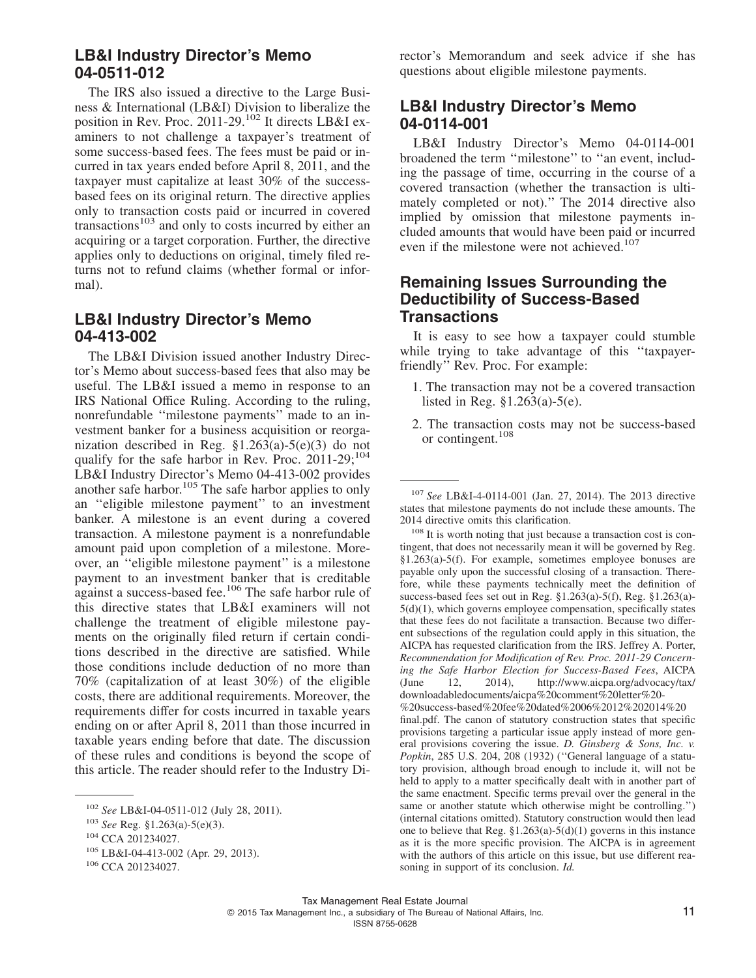### **LB&I Industry Director's Memo 04-0511-012**

The IRS also issued a directive to the Large Business & International (LB&I) Division to liberalize the position in Rev. Proc.  $2011-29$ <sup>102</sup> It directs LB&I examiners to not challenge a taxpayer's treatment of some success-based fees. The fees must be paid or incurred in tax years ended before April 8, 2011, and the taxpayer must capitalize at least 30% of the successbased fees on its original return. The directive applies only to transaction costs paid or incurred in covered transactions<sup>103</sup> and only to costs incurred by either an acquiring or a target corporation. Further, the directive applies only to deductions on original, timely filed returns not to refund claims (whether formal or informal).

### **LB&I Industry Director's Memo 04-413-002**

The LB&I Division issued another Industry Director's Memo about success-based fees that also may be useful. The LB&I issued a memo in response to an IRS National Office Ruling. According to the ruling, nonrefundable ''milestone payments'' made to an investment banker for a business acquisition or reorganization described in Reg. §1.263(a)-5(e)(3) do not qualify for the safe harbor in Rev. Proc.  $2011-29;^{104}$ LB&I Industry Director's Memo 04-413-002 provides another safe harbor.<sup>105</sup> The safe harbor applies to only an ''eligible milestone payment'' to an investment banker. A milestone is an event during a covered transaction. A milestone payment is a nonrefundable amount paid upon completion of a milestone. Moreover, an ''eligible milestone payment'' is a milestone payment to an investment banker that is creditable against a success-based fee.106 The safe harbor rule of this directive states that LB&I examiners will not challenge the treatment of eligible milestone payments on the originally filed return if certain conditions described in the directive are satisfied. While those conditions include deduction of no more than 70% (capitalization of at least 30%) of the eligible costs, there are additional requirements. Moreover, the requirements differ for costs incurred in taxable years ending on or after April 8, 2011 than those incurred in taxable years ending before that date. The discussion of these rules and conditions is beyond the scope of this article. The reader should refer to the Industry Di-

rector's Memorandum and seek advice if she has questions about eligible milestone payments.

### **LB&I Industry Director's Memo 04-0114-001**

LB&I Industry Director's Memo 04-0114-001 broadened the term ''milestone'' to ''an event, including the passage of time, occurring in the course of a covered transaction (whether the transaction is ultimately completed or not).'' The 2014 directive also implied by omission that milestone payments included amounts that would have been paid or incurred even if the milestone were not achieved.<sup>107</sup>

### **Remaining Issues Surrounding the Deductibility of Success-Based Transactions**

It is easy to see how a taxpayer could stumble while trying to take advantage of this "taxpayerfriendly'' Rev. Proc. For example:

- 1. The transaction may not be a covered transaction listed in Reg. §1.263(a)-5(e).
- 2. The transaction costs may not be success-based or contingent.<sup>108</sup>

<sup>107</sup> *See* LB&I-4-0114-001 (Jan. 27, 2014). The 2013 directive states that milestone payments do not include these amounts. The 2014 directive omits this clarification.

<sup>108</sup> It is worth noting that just because a transaction cost is contingent, that does not necessarily mean it will be governed by Reg. §1.263(a)-5(f). For example, sometimes employee bonuses are payable only upon the successful closing of a transaction. Therefore, while these payments technically meet the definition of success-based fees set out in Reg. §1.263(a)-5(f), Reg. §1.263(a)- 5(d)(1), which governs employee compensation, specifically states that these fees do not facilitate a transaction. Because two different subsections of the regulation could apply in this situation, the AICPA has requested clarification from the IRS. Jeffrey A. Porter, *Recommendation for Modification of Rev. Proc. 2011-29 Concerning the Safe Harbor Election for Success-Based Fees*, AICPA (June 12, 2014), [http://www.aicpa.org/advocacy/tax/](http://www.aicpa.org/advocacy/tax/downloadabledocuments/aicpa%20comment%20letter%20-%20success-based%20fee%20dated%2006%2012%202014%20final.pdf) [downloadabledocuments/aicpa%20comment%20letter%20-](http://www.aicpa.org/advocacy/tax/downloadabledocuments/aicpa%20comment%20letter%20-%20success-based%20fee%20dated%2006%2012%202014%20final.pdf) [%20success-based%20fee%20dated%2006%2012%202014%20](http://www.aicpa.org/advocacy/tax/downloadabledocuments/aicpa%20comment%20letter%20-%20success-based%20fee%20dated%2006%2012%202014%20final.pdf) [final.pdf.](http://www.aicpa.org/advocacy/tax/downloadabledocuments/aicpa%20comment%20letter%20-%20success-based%20fee%20dated%2006%2012%202014%20final.pdf) The canon of statutory construction states that specific provisions targeting a particular issue apply instead of more general provisions covering the issue. *D. Ginsberg & Sons, Inc. v. Popkin*, 285 U.S. 204, 208 (1932) (''General language of a statutory provision, although broad enough to include it, will not be held to apply to a matter specifically dealt with in another part of the same enactment. Specific terms prevail over the general in the same or another statute which otherwise might be controlling.'') (internal citations omitted). Statutory construction would then lead one to believe that Reg.  $$1.263(a)-5(d)(1)$  governs in this instance as it is the more specific provision. The AICPA is in agreement with the authors of this article on this issue, but use different reasoning in support of its conclusion. *Id.*

<sup>102</sup> *See* LB&I-04-0511-012 (July 28, 2011).

<sup>103</sup> *See* Reg. §1.263(a)-5(e)(3).

<sup>104</sup> CCA 201234027.

<sup>105</sup> LB&I-04-413-002 (Apr. 29, 2013).

<sup>106</sup> CCA 201234027.